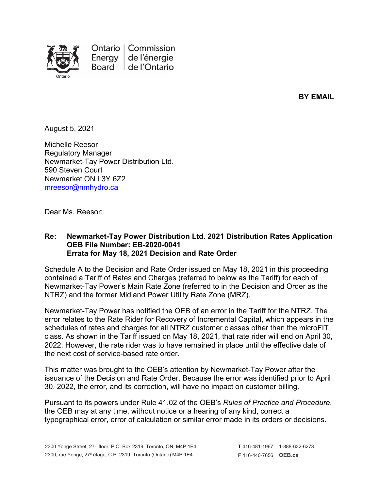

Ontario | Commission Energy de l'énergie Board de l'Ontario

**BY EMAIL**

August 5, 2021

Michelle Reesor Regulatory Manager Newmarket-Tay Power Distribution Ltd. 590 Steven Court Newmarket ON L3Y 6Z2 mreesor@nmhydro.ca

Dear Ms. Reesor:

## **Re: Newmarket-Tay Power Distribution Ltd. 2021 Distribution Rates Application OEB File Number: EB-2020-0041 Errata for May 18, 2021 Decision and Rate Order**

Schedule A to the Decision and Rate Order issued on May 18, 2021 in this proceeding contained a Tariff of Rates and Charges (referred to below as the Tariff) for each of Newmarket-Tay Power's Main Rate Zone (referred to in the Decision and Order as the NTRZ) and the former Midland Power Utility Rate Zone (MRZ).

Newmarket-Tay Power has notified the OEB of an error in the Tariff for the NTRZ. The error relates to the Rate Rider for Recovery of Incremental Capital, which appears in the schedules of rates and charges for all NTRZ customer classes other than the microFIT class. As shown in the Tariff issued on May 18, 2021, that rate rider will end on April 30, 2022. However, the rate rider was to have remained in place until the effective date of the next cost of service-based rate order.

This matter was brought to the OEB's attention by Newmarket-Tay Power after the issuance of the Decision and Rate Order. Because the error was identified prior to April 30, 2022, the error, and its correction, will have no impact on customer billing.

Pursuant to its powers under Rule 41.02 of the OEB's *Rules of Practice and Procedure*, the OEB may at any time, without notice or a hearing of any kind, correct a typographical error, error of calculation or similar error made in its orders or decisions.